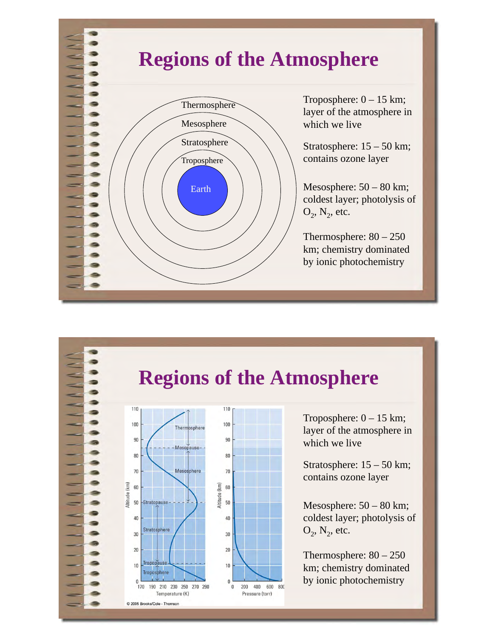#### **Regions of the Atmosphere**  Earth Troposphere Stratosphere Mesosphere  $T$ roposphere:  $0 - 15$  km; layer of the atmosphere in which we live Stratosphere: 15 – 50 km; contains ozone layer Mesosphere: 50 – 80 km; coldest layer; photolysis of  $O_2$ ,  $N_2$ , etc. Thermosphere: 80 – 250 km; chemistry dominated by ionic photochemistry





Troposphere:  $0 - 15$  km; layer of the atmosphere in which we live

Stratosphere: 15 – 50 km; contains ozone layer

Mesosphere: 50 – 80 km; coldest layer; photolysis of  $O_2$ ,  $N_2$ , etc.

Thermosphere: 80 – 250 km; chemistry dominated by ionic photochemistry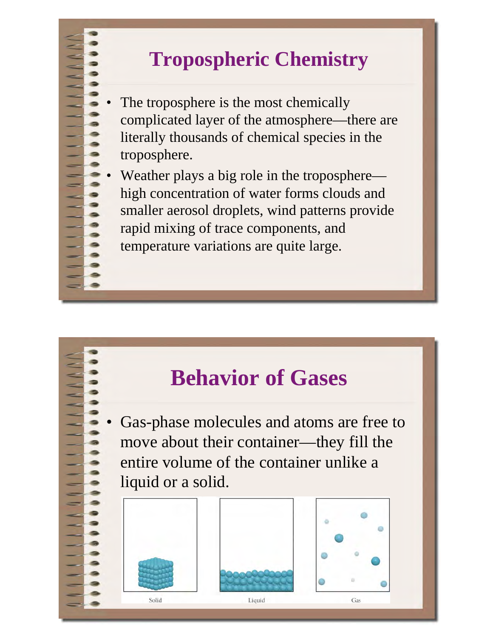# **Tropospheric Chemistry**

- The troposphere is the most chemically complicated layer of the atmosphere—there are literally thousands of chemical species in the troposphere.
- Weather plays a big role in the troposphere high concentration of water forms clouds and smaller aerosol droplets, wind patterns provide rapid mixing of trace components, and temperature variations are quite large.

# **Behavior of Gases**

• Gas-phase molecules and atoms are free to move about their container—they fill the entire volume of the container unlike a liquid or a solid.





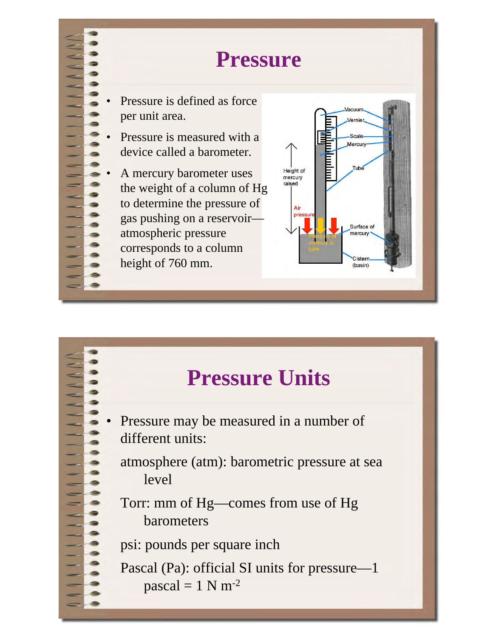

## **Pressure**

- Pressure is defined as force per unit area.
- Pressure is measured with a device called a barometer.

A mercury barometer uses the weight of a column of Hg to determine the pressure of gas pushing on a reservoir atmospheric pressure corresponds to a column height of 760 mm.



# **Pressure Units**

- Pressure may be measured in a number of different units:
	- atmosphere (atm): barometric pressure at sea level
	- Torr: mm of Hg—comes from use of Hg barometers

psi: pounds per square inch

 Pascal (Pa): official SI units for pressure—1 pascal =  $1 N m^{-2}$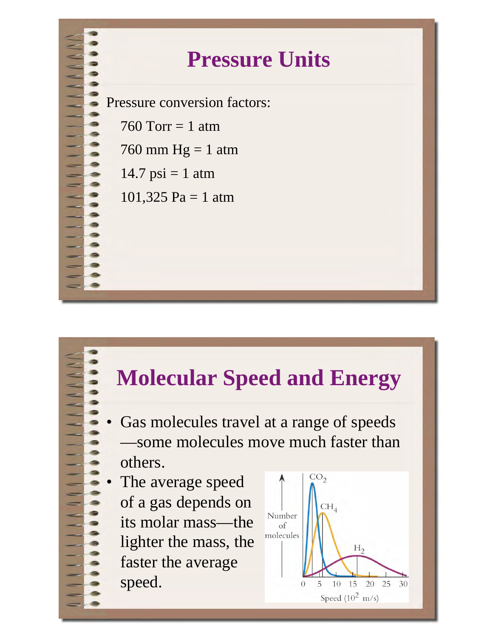

# **Pressure Units**

Pressure conversion factors:

- 760 Torr  $= 1$  atm
- 760 mm  $Hg = 1$  atm
- $14.7$  psi = 1 atm
- 101,325 Pa = 1 atm

## **Molecular Speed and Energy**

- Gas molecules travel at a range of speeds —some molecules move much faster than others.
- The average speed of a gas depends on its molar mass—the lighter the mass, the faster the average speed.

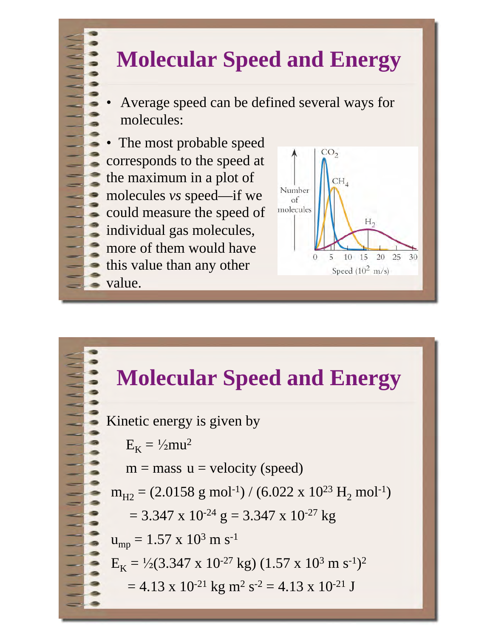# **Molecular Speed and Energy**

• Average speed can be defined several ways for molecules:

• The most probable speed corresponds to the speed at the maximum in a plot of molecules *vs* speed—if we could measure the speed of individual gas molecules, more of them would have this value than any other value.





Kinetic energy is given by  $E_K = \frac{1}{2}mu^2$  $m =$  mass  $u =$  velocity (speed)  $m_{H2} = (2.0158 \text{ g mol}^{-1}) / (6.022 \text{ x } 10^{23} \text{ H}_2 \text{ mol}^{-1})$  $= 3.347 \times 10^{-24} \text{ g} = 3.347 \times 10^{-27} \text{ kg}$  $u_{mp} = 1.57 \times 10^3 \text{ m s}^{-1}$  $E_K = \frac{1}{2} (3.347 \times 10^{-27} \text{ kg}) (1.57 \times 10^3 \text{ m s}^{-1})^2$  $= 4.13 \times 10^{-21}$  kg m<sup>2</sup> s<sup>-2</sup> = 4.13 x 10<sup>-21</sup> J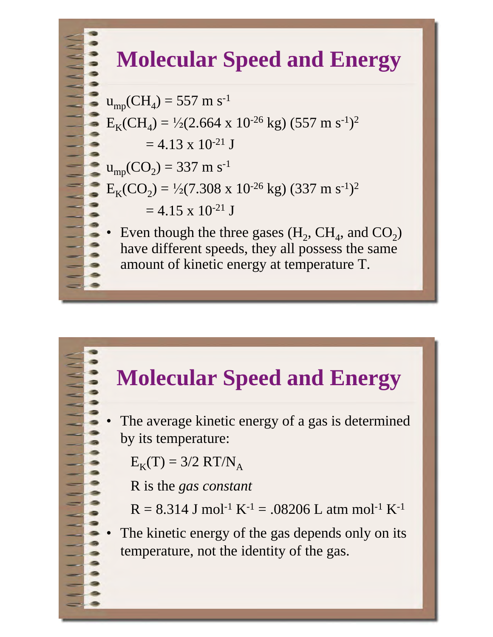# **Molecular Speed and Energy**

 $u_{mp}(CH_4) = 557$  m s<sup>-1</sup>  $E_KCH_A$ ) =  $\frac{1}{2}$ (2.664 x 10<sup>-26</sup> kg) (557 m s<sup>-1</sup>)<sup>2</sup>  $= 4.13 \times 10^{-21}$  J  $u_{mp}(CO_2) = 337 \text{ m s}^{-1}$  $E_K(CO_2) = \frac{1}{2}(7.308 \times 10^{-26} \text{ kg}) (337 \text{ m s}^{-1})^2$  $= 4.15 \times 10^{-21}$  J

Even though the three gases  $(H_2, CH_4, and CO_2)$ have different speeds, they all possess the same amount of kinetic energy at temperature T.

# **Molecular Speed and Energy**

The average kinetic energy of a gas is determined by its temperature:

 $E_K(T) = 3/2 RT/N_A$ 

R is the *gas constant*

 $R = 8.314$  J mol<sup>-1</sup> K<sup>-1</sup> = .08206 L atm mol<sup>-1</sup> K<sup>-1</sup>

The kinetic energy of the gas depends only on its temperature, not the identity of the gas.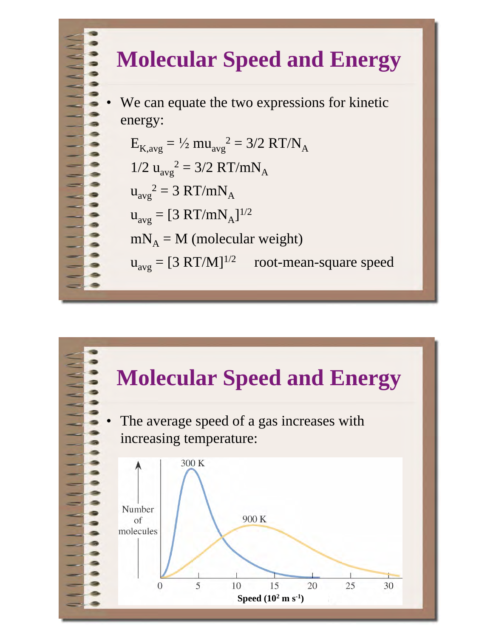

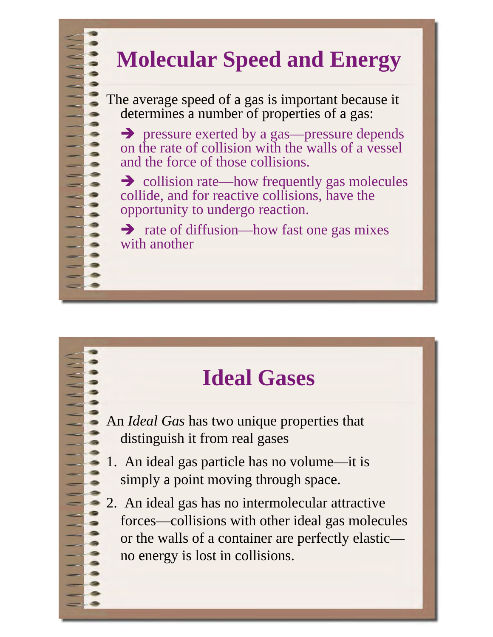# **Molecular Speed and Energy**

The average speed of a gas is important because it determines a number of properties of a gas:

- pressure exerted by a gas—pressure depends on the rate of collision with the walls of a vessel and the force of those collisions.

→ collision rate—how frequently gas molecules collide, and for reactive collisions, have the opportunity to undergo reaction.

→ rate of diffusion—how fast one gas mixes with another

# **Ideal Gases**

An *Ideal Gas* has two unique properties that distinguish it from real gases

- 1. An ideal gas particle has no volume—it is simply a point moving through space.
- 2. An ideal gas has no intermolecular attractive forces—collisions with other ideal gas molecules or the walls of a container are perfectly elastic no energy is lost in collisions.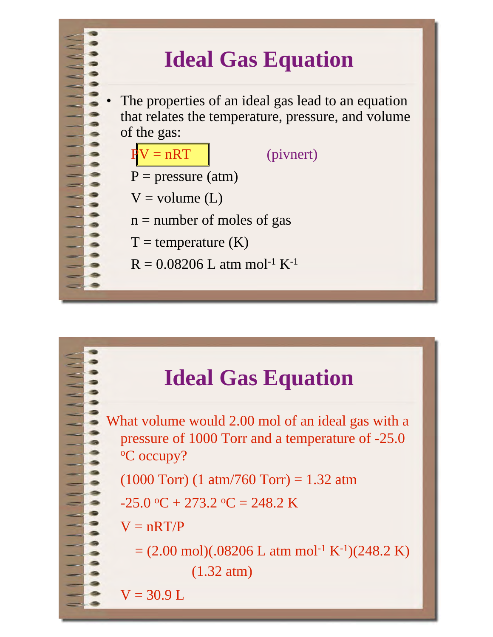# **Ideal Gas Equation**

The properties of an ideal gas lead to an equation that relates the temperature, pressure, and volume of the gas:



# **Ideal Gas Equation**

What volume would 2.00 mol of an ideal gas with a pressure of 1000 Torr and a temperature of -25.0 <sup>o</sup>C occupy?

 $(1000$  Torr)  $(1 \text{ atm}/760$  Torr) = 1.32 atm

 $-25.0$  °C + 273.2 °C = 248.2 K

 $V = nRT/P$ 

 $= (2.00 \text{ mol})(.08206 \text{ L atm mol}^{-1} \text{ K}^{-1})(248.2 \text{ K})$ 

(1.32 atm)

 $V = 30.9 L$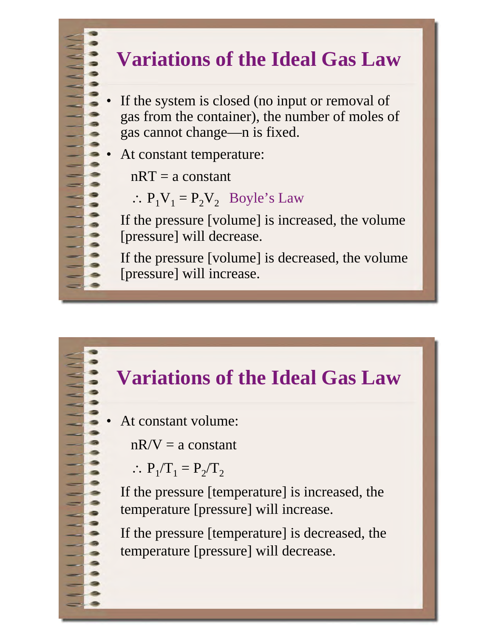## **Variations of the Ideal Gas Law**

- If the system is closed (no input or removal of gas from the container), the number of moles of gas cannot change—n is fixed.
- At constant temperature:
	- $nRT = a constant$
	- $\therefore$  P<sub>1</sub>V<sub>1</sub> = P<sub>2</sub>V<sub>2</sub> Boyle's Law

 If the pressure [volume] is increased, the volume [pressure] will decrease.

 If the pressure [volume] is decreased, the volume [pressure] will increase.

## **Variations of the Ideal Gas Law**

• At constant volume:

 $nR/V = a constant$ 

$$
\therefore P_1/T_1 = P_2/T_2
$$

 If the pressure [temperature] is increased, the temperature [pressure] will increase.

 If the pressure [temperature] is decreased, the temperature [pressure] will decrease.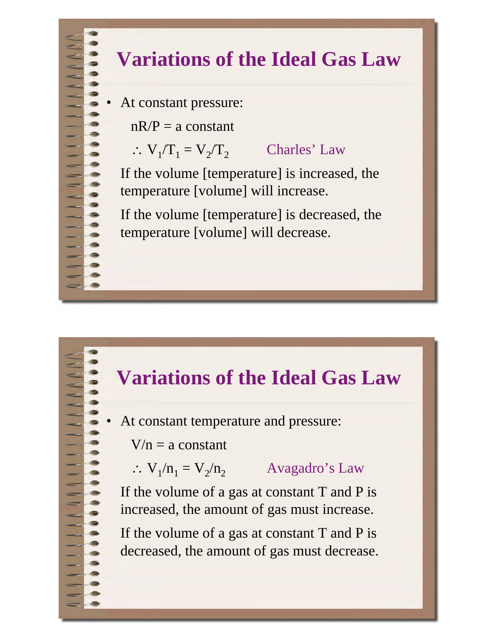## **Variations of the Ideal Gas Law**

At constant pressure:

 $nR/P = a$  constant

 $\therefore$  V<sub>1</sub>/T<sub>1</sub> = V<sub>2</sub>/T<sub>2</sub> Charles' Law

 If the volume [temperature] is increased, the temperature [volume] will increase.

 If the volume [temperature] is decreased, the temperature [volume] will decrease.

## **Variations of the Ideal Gas Law**

At constant temperature and pressure:

 $V/n = a constant$ 

 $\therefore$  V<sub>1</sub>/n<sub>1</sub> = V<sub>2</sub>/n<sub>2</sub> Avagadro's Law

 If the volume of a gas at constant T and P is increased, the amount of gas must increase.

 If the volume of a gas at constant T and P is decreased, the amount of gas must decrease.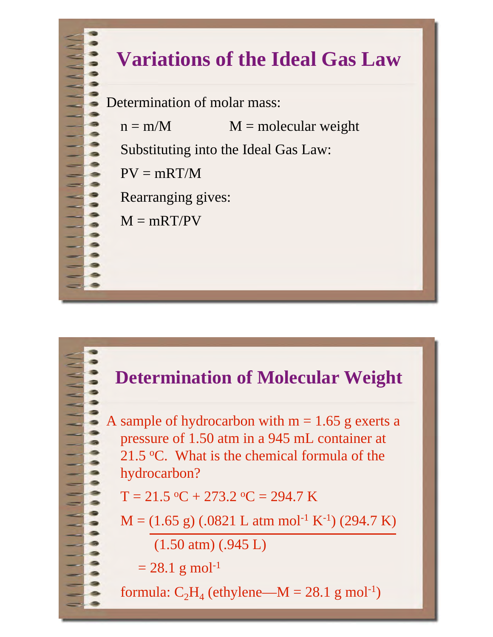# **Variations of the Ideal Gas Law**

Determination of molar mass:

 $n = m/M$   $M = molecular weight$ 

Substituting into the Ideal Gas Law:

 $PV = mRT/M$ 

Rearranging gives:

 $M = mRT/PV$ 

### **Determination of Molecular Weight**

A sample of hydrocarbon with  $m = 1.65$  g exerts a pressure of 1.50 atm in a 945 mL container at 21.5  $\degree$ C. What is the chemical formula of the hydrocarbon?

 $T = 21.5 \text{ °C} + 273.2 \text{ °C} = 294.7 \text{ K}$ 

$$
M = (1.65 \text{ g}) (.0821 \text{ L atm mol}^{-1} \text{ K}^{-1}) (294.7 \text{ K})
$$

(1.50 atm) (.945 L)

$$
= 28.1 \text{ g mol}^{-1}
$$

formula:  $C_2H_4$  (ethylene—M = 28.1 g mol<sup>-1</sup>)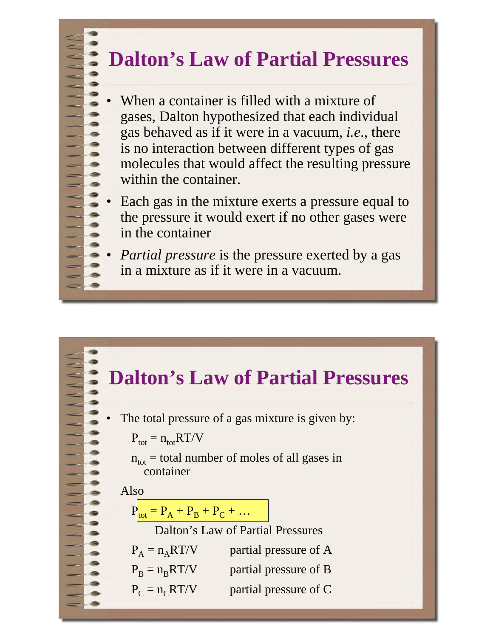## **Dalton's Law of Partial Pressures**

- When a container is filled with a mixture of gases, Dalton hypothesized that each individual gas behaved as if it were in a vacuum, *i.e*., there is no interaction between different types of gas molecules that would affect the resulting pressure within the container.
- Each gas in the mixture exerts a pressure equal to the pressure it would exert if no other gases were in the container
- *Partial pressure* is the pressure exerted by a gas in a mixture as if it were in a vacuum.

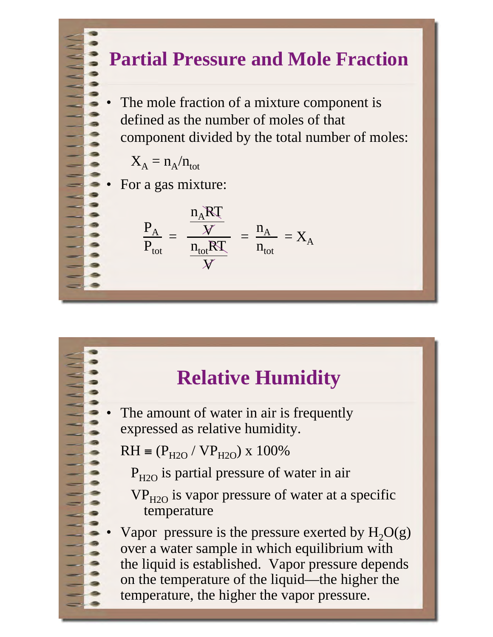#### **Partial Pressure and Mole Fraction**

The mole fraction of a mixture component is defined as the number of moles of that component divided by the total number of moles:

$$
X_A = n_A/n_{tot}
$$

• For a gas mixture:

$$
\frac{P_A}{P_{tot}} = \frac{\frac{n_A RT}{W}}{\frac{n_{tot} RT}{W}} = \frac{n_A}{n_{tot}} = X_A
$$

### **Relative Humidity**

The amount of water in air is frequently expressed as relative humidity.

 $RH = (P_{H2O} / VP_{H2O}) \times 100\%$ 

 $P_{H2O}$  is partial pressure of water in air

 $VP<sub>H2O</sub>$  is vapor pressure of water at a specific temperature

Vapor pressure is the pressure exerted by  $H_2O(g)$ over a water sample in which equilibrium with the liquid is established. Vapor pressure depends on the temperature of the liquid—the higher the temperature, the higher the vapor pressure.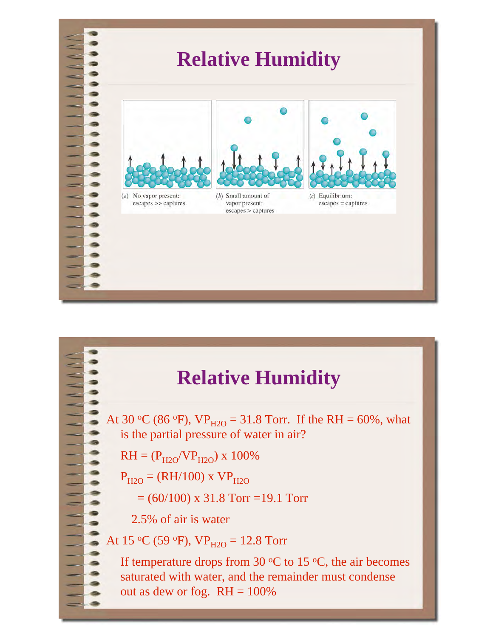

## **Relative Humidity**

At 30 °C (86 °F),  $VP_{H2O} = 31.8$  Torr. If the RH = 60%, what is the partial pressure of water in air?

$$
RH = (P_{H2O}/VP_{H2O}) \times 100\%
$$

- $P_{H2O} = (RH/100)$  x  $VP_{H2O}$ 
	- $= (60/100)$  x 31.8 Torr =19.1 Torr

2.5% of air is water

At 15 °C (59 °F),  $VP_{H2O} = 12.8$  Torr

If temperature drops from 30  $\mathrm{^{\circ}C}$  to 15  $\mathrm{^{\circ}C}$ , the air becomes saturated with water, and the remainder must condense out as dew or fog.  $RH = 100\%$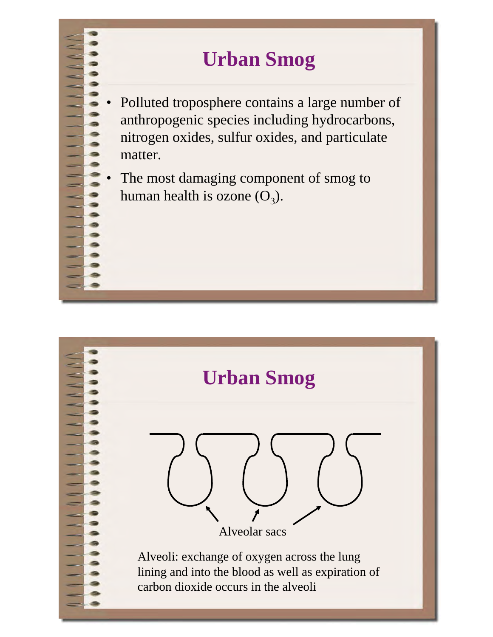## **Urban Smog**

- Polluted troposphere contains a large number of anthropogenic species including hydrocarbons, nitrogen oxides, sulfur oxides, and particulate matter.
- The most damaging component of smog to human health is ozone  $(O_3)$ .

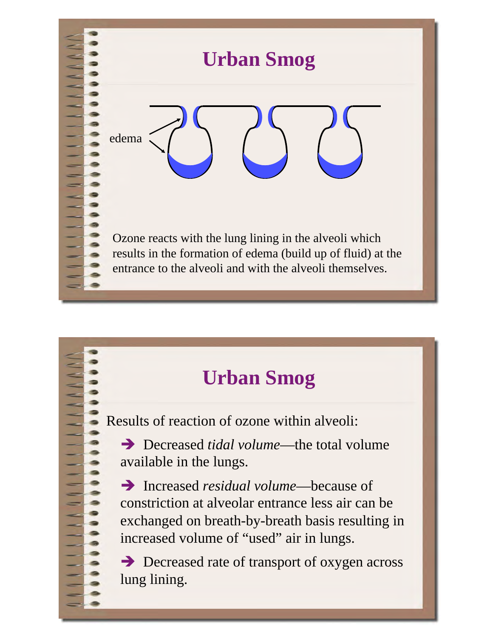

## **Urban Smog**

Results of reaction of ozone within alveoli:

→ Decreased *tidal volume*—the total volume available in the lungs.

- Increased *residual volume*—because of constriction at alveolar entrance less air can be exchanged on breath-by-breath basis resulting in increased volume of "used" air in lungs.

→ Decreased rate of transport of oxygen across lung lining.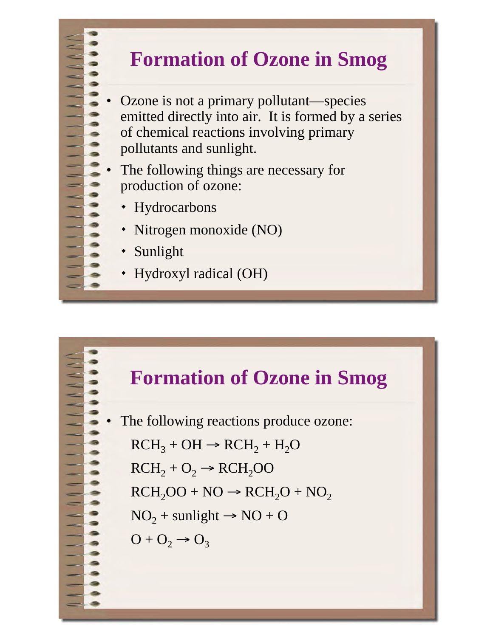

- Ozone is not a primary pollutant—species emitted directly into air. It is formed by a series of chemical reactions involving primary pollutants and sunlight.
- The following things are necessary for production of ozone:
	- Hydrocarbons
	- Nitrogen monoxide (NO)
	- Sunlight
	- Hydroxyl radical (OH)



The following reactions produce ozone:  $R_{\text{C}}$  + OH  $R_{\text{C}}$  + DCH<sub>2</sub> + H<sub>2</sub>O<sub>1</sub>

$$
RCH3 + OH \rightarrow RCH2 + H2U
$$
  

$$
RCH2 + O2 \rightarrow RCH2OO
$$
  

$$
RCH2OO + NO \rightarrow RCH2O + NO2
$$

 $NO_2$  + sunlight  $\rightarrow NO + O$ 

$$
O + O_2 \rightarrow O_3
$$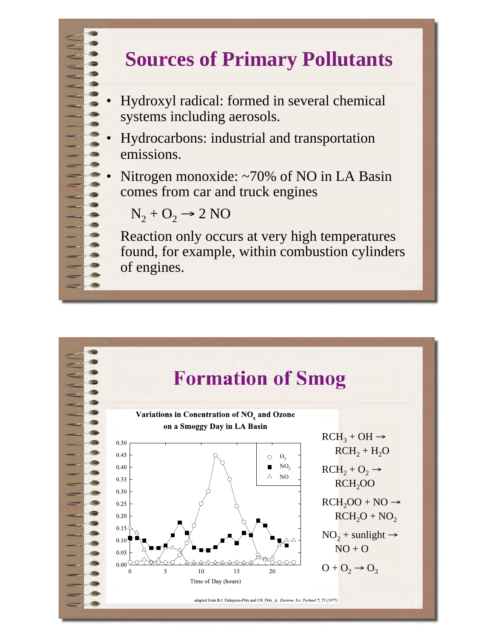## **Sources of Primary Pollutants**

- Hydroxyl radical: formed in several chemical systems including aerosols.
- Hydrocarbons: industrial and transportation emissions.
- Nitrogen monoxide: ~70% of NO in LA Basin comes from car and truck engines

$$
N_2 + O_2 \rightarrow 2 NO
$$

 Reaction only occurs at very high temperatures found, for example, within combustion cylinders of engines.

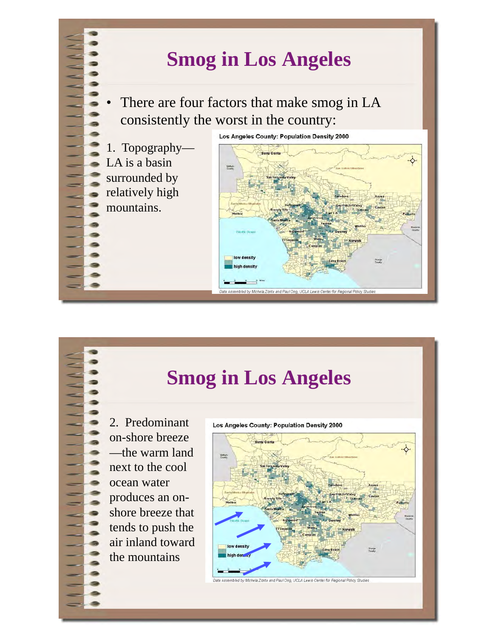## **Smog in Los Angeles**

There are four factors that make smog in LA consistently the worst in the country:

1. Topography— LA is a basin surrounded by relatively high mountains.

Los Angeles County: Population Density 2000



### **Smog in Los Angeles**

2. Predominant on-shore breeze —the warm land next to the cool ocean water produces an onshore breeze that tends to push the air inland toward the mountains



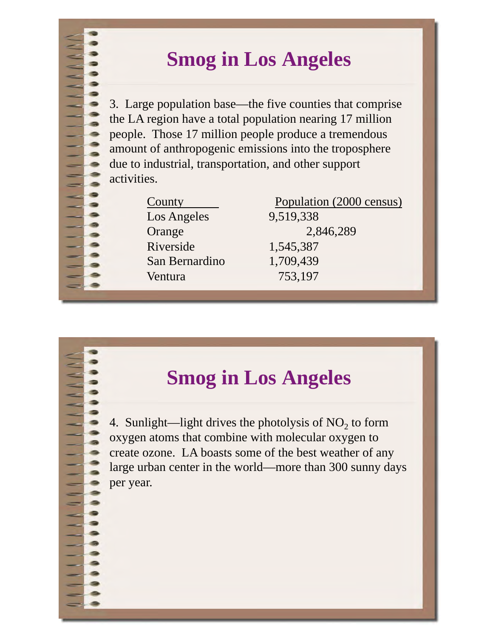## **Smog in Los Angeles**

3. Large population base—the five counties that comprise the LA region have a total population nearing 17 million people. Those 17 million people produce a tremendous amount of anthropogenic emissions into the troposphere due to industrial, transportation, and other support activities.

| County         |
|----------------|
| Los Angeles    |
| Orange         |
| Riverside      |
| San Bernardino |
| Ventura        |
|                |

Population (2000 census) 9,519,338 2,846,289 Riverside 1,545,387 1,709,439 Ventura 753,197

## **Smog in Los Angeles**

4. Sunlight—light drives the photolysis of  $NO<sub>2</sub>$  to form oxygen atoms that combine with molecular oxygen to create ozone. LA boasts some of the best weather of any large urban center in the world—more than 300 sunny days per year.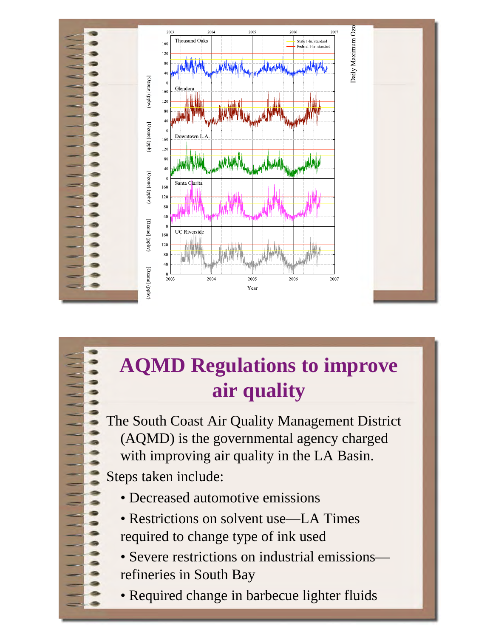

# **AQMD Regulations to improve air quality**

The South Coast Air Quality Management District (AQMD) is the governmental agency charged with improving air quality in the LA Basin.

Steps taken include:

- Decreased automotive emissions
- Restrictions on solvent use—LA Times required to change type of ink used
- Severe restrictions on industrial emissions refineries in South Bay
- Required change in barbecue lighter fluids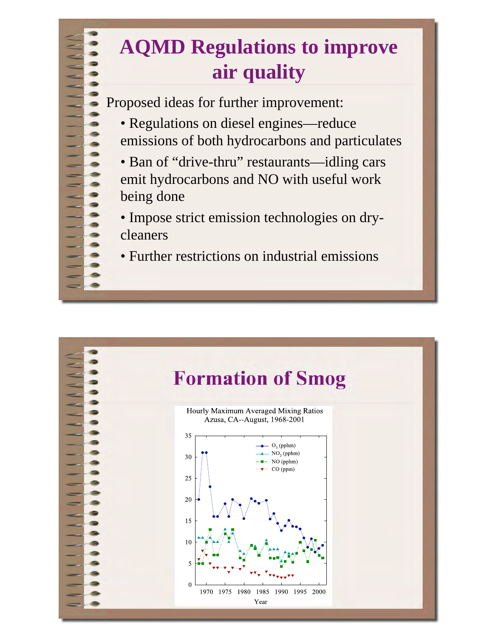# **AQMD Regulations to improve air quality**

Proposed ideas for further improvement:

- Regulations on diesel engines—reduce emissions of both hydrocarbons and particulates
- Ban of "drive-thru" restaurants—idling cars emit hydrocarbons and NO with useful work being done
- Impose strict emission technologies on drycleaners
- Further restrictions on industrial emissions

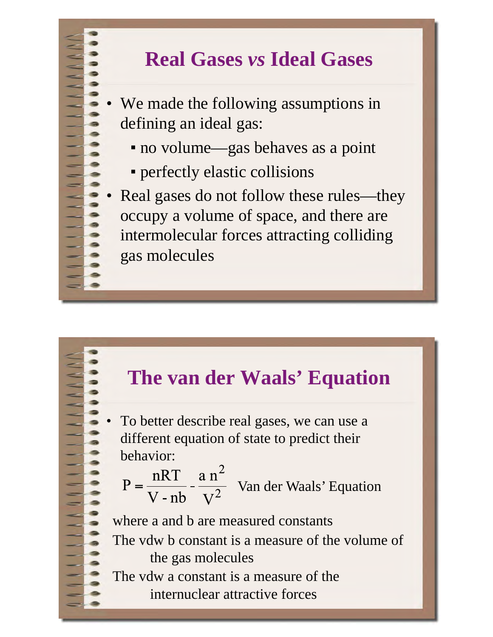## **Real Gases** *vs* **Ideal Gases**

We made the following assumptions in defining an ideal gas:

- no volume—gas behaves as a point
- perfectly elastic collisions
- Real gases do not follow these rules—they occupy a volume of space, and there are intermolecular forces attracting colliding gas molecules

#### **The van der Waals' Equation**

• To better describe real gases, we can use a different equation of state to predict their behavior:

 $P = {nRT \over V - nb} - {a n^2 \over V^2}$  Van der Waals' Equation

where a and b are measured constants The vdw b constant is a measure of the volume of the gas molecules The vdw a constant is a measure of the

internuclear attractive forces